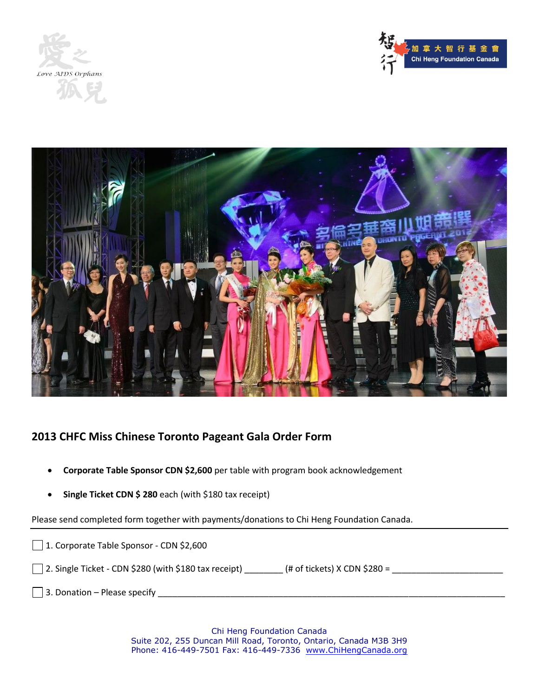





## **2013 CHFC Miss Chinese Toronto Pageant Gala Order Form**

- **Corporate Table Sponsor CDN \$2,600** per table with program book acknowledgement
- **Single Ticket CDN \$ 280** each (with \$180 tax receipt)

Please send completed form together with payments/donations to Chi Heng Foundation Canada.

| 1. Corporate Table Sponsor - CDN \$2,600                                                       |
|------------------------------------------------------------------------------------------------|
| $\Box$ 2. Single Ticket - CDN \$280 (with \$180 tax receipt)<br>(# of tickets) $X$ CDN \$280 = |
| $\Box$ 3. Donation – Please specify                                                            |

Chi Heng Foundation Canada Suite 202, 255 Duncan Mill Road, Toronto, Ontario, Canada M3B 3H9 Phone: 416-449-7501 Fax: 416-449-7336 www.ChiHengCanada.org